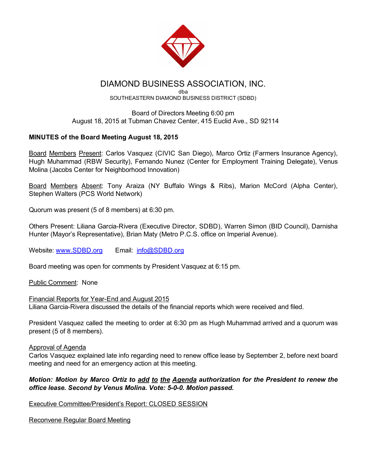

# DIAMOND BUSINESS ASSOCIATION, INC.

dba SOUTHEASTERN DIAMOND BUSINESS DISTRICT (SDBD)

## Board of Directors Meeting 6:00 pm August 18, 2015 at Tubman Chavez Center, 415 Euclid Ave., SD 92114

## MINUTES of the Board Meeting August 18, 2015

Board Members Present: Carlos Vasquez (CIVIC San Diego), Marco Ortiz (Farmers Insurance Agency), Hugh Muhammad (RBW Security), Fernando Nunez (Center for Employment Training Delegate), Venus Molina (Jacobs Center for Neighborhood Innovation)

Board Members Absent: Tony Araiza (NY Buffalo Wings & Ribs), Marion McCord (Alpha Center), Stephen Walters (PCS World Network)

Quorum was present (5 of 8 members) at 6:30 pm.

Others Present: Liliana Garcia-Rivera (Executive Director, SDBD), Warren Simon (BID Council), Darnisha Hunter (Mayor's Representative), Brian Maty (Metro P.C.S. office on Imperial Avenue).

Website: [www.SDBD.org](http://www.sdbd.org/) Email: [info@SDBD.org](mailto:info@SDBD.org)

Board meeting was open for comments by President Vasquez at 6:15 pm.

Public Comment: None

Financial Reports for Year-End and August 2015 Liliana Garcia-Rivera discussed the details of the financial reports which were received and filed.

President Vasquez called the meeting to order at 6:30 pm as Hugh Muhammad arrived and a quorum was present (5 of 8 members).

### Approval of Agenda

Carlos Vasquez explained late info regarding need to renew office lease by September 2, before next board meeting and need for an emergency action at this meeting.

## *Motion: Motion by Marco Ortiz to add to the Agenda authorization for the President to renew the office lease. Second by Venus Molina. Vote: 500. Motion passed.*

Executive Committee/President's Report: CLOSED SESSION

Reconvene Regular Board Meeting